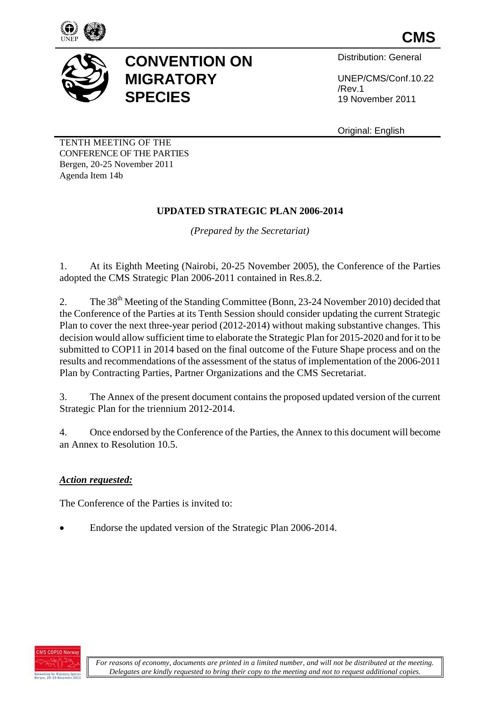



## **CONVENTION ON MIGRATORY SPECIES**

Distribution: General

UNEP/CMS/Conf.10.22 /Rev.1 19 November 2011

Original: English

TENTH MEETING OF THE CONFERENCE OF THE PARTIES Bergen, 20-25 November 2011 Agenda Item 14b

### **UPDATED STRATEGIC PLAN 2006-2014**

*(Prepared by the Secretariat)*

1. At its Eighth Meeting (Nairobi, 20-25 November 2005), the Conference of the Parties adopted the CMS Strategic Plan 2006-2011 contained in Res.8.2.

2. The 38<sup>th</sup> Meeting of the Standing Committee (Bonn, 23-24 November 2010) decided that the Conference of the Parties at its Tenth Session should consider updating the current Strategic Plan to cover the next three-year period (2012-2014) without making substantive changes. This decision would allow sufficient time to elaborate the Strategic Plan for 2015-2020 and for it to be submitted to COP11 in 2014 based on the final outcome of the Future Shape process and on the results and recommendations of the assessment of the status of implementation of the 2006-2011 Plan by Contracting Parties, Partner Organizations and the CMS Secretariat.

3. The Annex of the present document contains the proposed updated version of the current Strategic Plan for the triennium 2012-2014.

4. Once endorsed by the Conference of the Parties, the Annex to this document will become an Annex to Resolution 10.5.

#### *Action requested:*

The Conference of the Parties is invited to:

Endorse the updated version of the Strategic Plan 2006-2014.

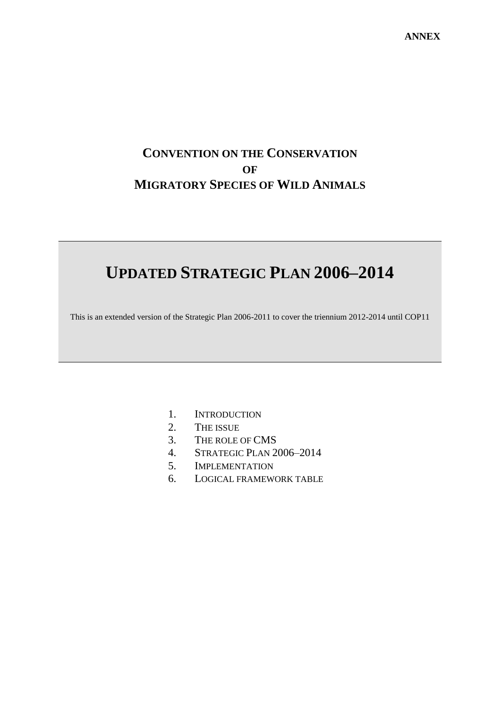## **CONVENTION ON THE CONSERVATION OF MIGRATORY SPECIES OF WILD ANIMALS**

# **UPDATED STRATEGIC PLAN 2006–2014**

This is an extended version of the Strategic Plan 2006-2011 to cover the triennium 2012-2014 until COP11

- 1. INTRODUCTION
- 2. THE ISSUE
- 3. THE ROLE OF CMS
- 4. STRATEGIC PLAN 2006–2014
- 5. IMPLEMENTATION
- 6. LOGICAL FRAMEWORK TABLE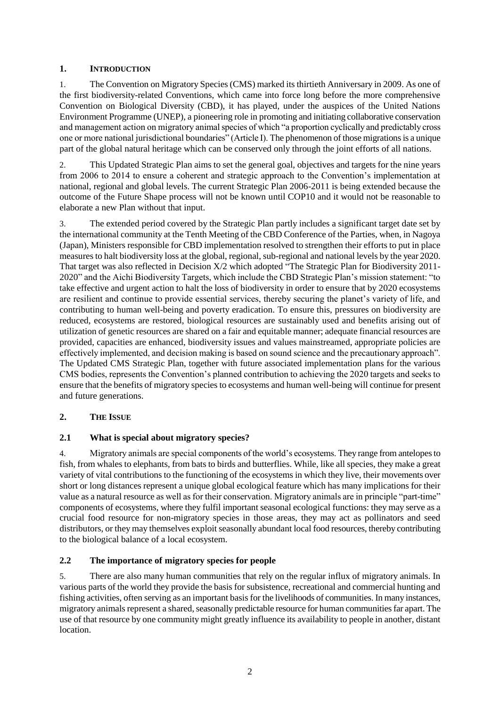#### **1. INTRODUCTION**

1. The Convention on Migratory Species (CMS) marked its thirtieth Anniversary in 2009. As one of the first biodiversity-related Conventions, which came into force long before the more comprehensive Convention on Biological Diversity (CBD), it has played, under the auspices of the United Nations Environment Programme (UNEP), a pioneering role in promoting and initiating collaborative conservation and management action on migratory animal species of which "a proportion cyclically and predictably cross one or more national jurisdictional boundaries" (Article I). The phenomenon of those migrations is a unique part of the global natural heritage which can be conserved only through the joint efforts of all nations.

2. This Updated Strategic Plan aims to set the general goal, objectives and targets for the nine years from 2006 to 2014 to ensure a coherent and strategic approach to the Convention's implementation at national, regional and global levels. The current Strategic Plan 2006-2011 is being extended because the outcome of the Future Shape process will not be known until COP10 and it would not be reasonable to elaborate a new Plan without that input.

3. The extended period covered by the Strategic Plan partly includes a significant target date set by the international community at the Tenth Meeting of the CBD Conference of the Parties, when, in Nagoya (Japan), Ministers responsible for CBD implementation resolved to strengthen their efforts to put in place measures to halt biodiversity loss at the global, regional, sub-regional and national levels by the year 2020. That target was also reflected in Decision X/2 which adopted "The Strategic Plan for Biodiversity 2011- 2020" and the Aichi Biodiversity Targets, which include the CBD Strategic Plan's mission statement: "to take effective and urgent action to halt the loss of biodiversity in order to ensure that by 2020 ecosystems are resilient and continue to provide essential services, thereby securing the planet's variety of life, and contributing to human well-being and poverty eradication. To ensure this, pressures on biodiversity are reduced, ecosystems are restored, biological resources are sustainably used and benefits arising out of utilization of genetic resources are shared on a fair and equitable manner; adequate financial resources are provided, capacities are enhanced, biodiversity issues and values mainstreamed, appropriate policies are effectively implemented, and decision making is based on sound science and the precautionary approach". The Updated CMS Strategic Plan, together with future associated implementation plans for the various CMS bodies, represents the Convention's planned contribution to achieving the 2020 targets and seeks to ensure that the benefits of migratory species to ecosystems and human well-being will continue for present and future generations.

#### **2. THE ISSUE**

#### **2.1 What is special about migratory species?**

4. Migratory animals are special components of the world's ecosystems. They range from antelopes to fish, from whales to elephants, from bats to birds and butterflies. While, like all species, they make a great variety of vital contributions to the functioning of the ecosystems in which they live, their movements over short or long distances represent a unique global ecological feature which has many implications for their value as a natural resource as well as for their conservation. Migratory animals are in principle "part-time" components of ecosystems, where they fulfil important seasonal ecological functions: they may serve as a crucial food resource for non-migratory species in those areas, they may act as pollinators and seed distributors, or they may themselves exploit seasonally abundant local food resources, thereby contributing to the biological balance of a local ecosystem.

#### **2.2 The importance of migratory species for people**

5. There are also many human communities that rely on the regular influx of migratory animals. In various parts of the world they provide the basis for subsistence, recreational and commercial hunting and fishing activities, often serving as an important basis for the livelihoods of communities. In many instances, migratory animals represent a shared, seasonally predictable resource for human communities far apart. The use of that resource by one community might greatly influence its availability to people in another, distant location.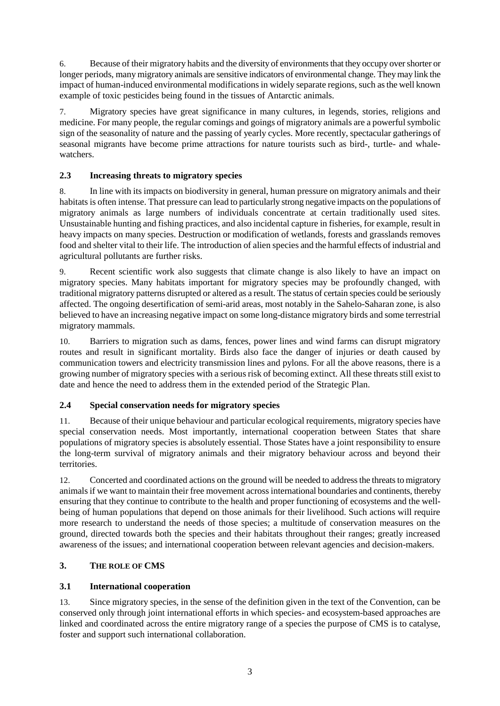6. Because of their migratory habits and the diversity of environments that they occupy over shorter or longer periods, many migratory animals are sensitive indicators of environmental change. They may link the impact of human-induced environmental modifications in widely separate regions, such as the well known example of toxic pesticides being found in the tissues of Antarctic animals.

7. Migratory species have great significance in many cultures, in legends, stories, religions and medicine. For many people, the regular comings and goings of migratory animals are a powerful symbolic sign of the seasonality of nature and the passing of yearly cycles. More recently, spectacular gatherings of seasonal migrants have become prime attractions for nature tourists such as bird-, turtle- and whalewatchers.

#### **2.3 Increasing threats to migratory species**

8. In line with its impacts on biodiversity in general, human pressure on migratory animals and their habitats is often intense. That pressure can lead to particularly strong negative impacts on the populations of migratory animals as large numbers of individuals concentrate at certain traditionally used sites. Unsustainable hunting and fishing practices, and also incidental capture in fisheries, for example, result in heavy impacts on many species. Destruction or modification of wetlands, forests and grasslands removes food and shelter vital to their life. The introduction of alien species and the harmful effects of industrial and agricultural pollutants are further risks.

9. Recent scientific work also suggests that climate change is also likely to have an impact on migratory species. Many habitats important for migratory species may be profoundly changed, with traditional migratory patterns disrupted or altered as a result. The status of certain species could be seriously affected. The ongoing desertification of semi-arid areas, most notably in the Sahelo-Saharan zone, is also believed to have an increasing negative impact on some long-distance migratory birds and some terrestrial migratory mammals.

10. Barriers to migration such as dams, fences, power lines and wind farms can disrupt migratory routes and result in significant mortality. Birds also face the danger of injuries or death caused by communication towers and electricity transmission lines and pylons. For all the above reasons, there is a growing number of migratory species with a serious risk of becoming extinct. All these threats still exist to date and hence the need to address them in the extended period of the Strategic Plan.

#### **2.4 Special conservation needs for migratory species**

11. Because of their unique behaviour and particular ecological requirements, migratory species have special conservation needs. Most importantly, international cooperation between States that share populations of migratory species is absolutely essential. Those States have a joint responsibility to ensure the long-term survival of migratory animals and their migratory behaviour across and beyond their territories.

12. Concerted and coordinated actions on the ground will be needed to address the threats to migratory animals if we want to maintain their free movement across international boundaries and continents, thereby ensuring that they continue to contribute to the health and proper functioning of ecosystems and the wellbeing of human populations that depend on those animals for their livelihood. Such actions will require more research to understand the needs of those species; a multitude of conservation measures on the ground, directed towards both the species and their habitats throughout their ranges; greatly increased awareness of the issues; and international cooperation between relevant agencies and decision-makers.

#### **3. THE ROLE OF CMS**

#### **3.1 International cooperation**

13. Since migratory species, in the sense of the definition given in the text of the Convention, can be conserved only through joint international efforts in which species- and ecosystem-based approaches are linked and coordinated across the entire migratory range of a species the purpose of CMS is to catalyse, foster and support such international collaboration.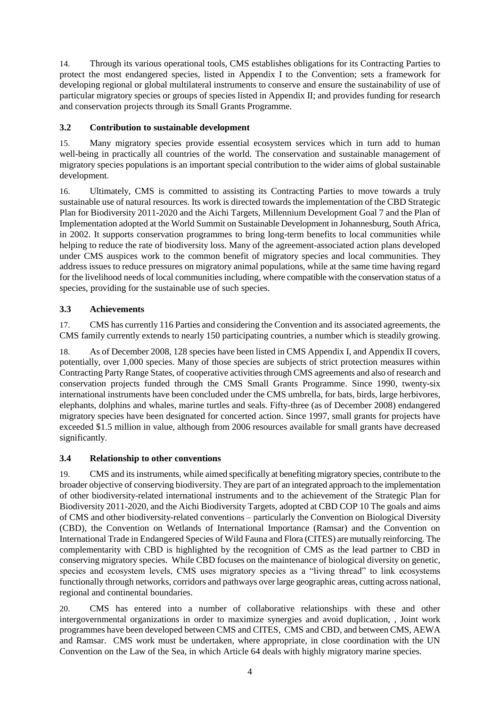14. Through its various operational tools, CMS establishes obligations for its Contracting Parties to protect the most endangered species, listed in Appendix I to the Convention; sets a framework for developing regional or global multilateral instruments to conserve and ensure the sustainability of use of particular migratory species or groups of species listed in Appendix II; and provides funding for research and conservation projects through its Small Grants Programme.

#### **3.2 Contribution to sustainable development**

15. Many migratory species provide essential ecosystem services which in turn add to human well-being in practically all countries of the world. The conservation and sustainable management of migratory species populations is an important special contribution to the wider aims of global sustainable development.

16. Ultimately, CMS is committed to assisting its Contracting Parties to move towards a truly sustainable use of natural resources. Its work is directed towards the implementation of the CBD Strategic Plan for Biodiversity 2011-2020 and the Aichi Targets, Millennium Development Goal 7 and the Plan of Implementation adopted at the World Summit on Sustainable Development in Johannesburg, South Africa, in 2002. It supports conservation programmes to bring long-term benefits to local communities while helping to reduce the rate of biodiversity loss. Many of the agreement-associated action plans developed under CMS auspices work to the common benefit of migratory species and local communities. They address issues to reduce pressures on migratory animal populations, while at the same time having regard for the livelihood needs of local communities including, where compatible with the conservation status of a species, providing for the sustainable use of such species.

#### **3.3 Achievements**

17. CMS has currently 116 Parties and considering the Convention and its associated agreements, the CMS family currently extends to nearly 150 participating countries, a number which is steadily growing.

18. As of December 2008, 128 species have been listed in CMS Appendix I, and Appendix II covers, potentially, over 1,000 species. Many of those species are subjects of strict protection measures within Contracting Party Range States, of cooperative activities through CMS agreements and also of research and conservation projects funded through the CMS Small Grants Programme. Since 1990, twenty-six international instruments have been concluded under the CMS umbrella, for bats, birds, large herbivores, elephants, dolphins and whales, marine turtles and seals. Fifty-three (as of December 2008) endangered migratory species have been designated for concerted action. Since 1997, small grants for projects have exceeded \$1.5 million in value, although from 2006 resources available for small grants have decreased significantly.

#### **3.4 Relationship to other conventions**

19. CMS and its instruments, while aimed specifically at benefiting migratory species, contribute to the broader objective of conserving biodiversity. They are part of an integrated approach to the implementation of other biodiversity-related international instruments and to the achievement of the Strategic Plan for Biodiversity 2011-2020, and the Aichi Biodiversity Targets, adopted at CBD COP 10 The goals and aims of CMS and other biodiversity-related conventions – particularly the Convention on Biological Diversity (CBD), the Convention on Wetlands of International Importance (Ramsar) and the Convention on International Trade in Endangered Species of Wild Fauna and Flora (CITES) are mutually reinforcing. The complementarity with CBD is highlighted by the recognition of CMS as the lead partner to CBD in conserving migratory species. While CBD focuses on the maintenance of biological diversity on genetic, species and ecosystem levels, CMS uses migratory species as a "living thread" to link ecosystems functionally through networks, corridors and pathways over large geographic areas, cutting across national, regional and continental boundaries.

20. CMS has entered into a number of collaborative relationships with these and other intergovernmental organizations in order to maximize synergies and avoid duplication, , Joint work programmes have been developed between CMS and CITES, CMS and CBD, and between CMS, AEWA and Ramsar. CMS work must be undertaken, where appropriate, in close coordination with the UN Convention on the Law of the Sea, in which Article 64 deals with highly migratory marine species.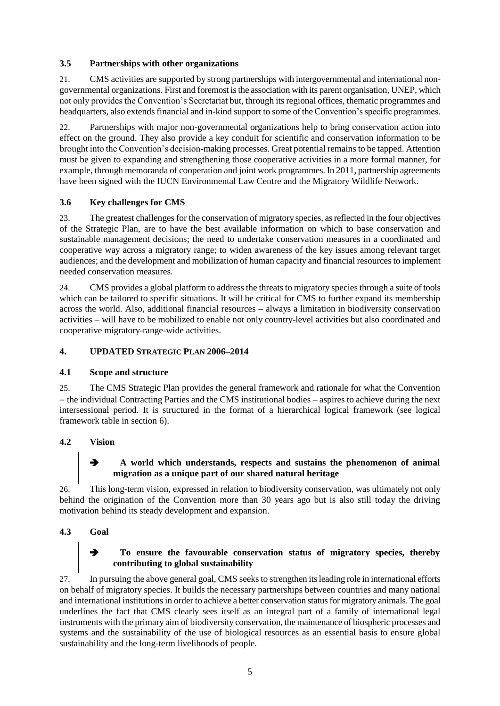#### **3.5 Partnerships with other organizations**

21. CMS activities are supported by strong partnerships with intergovernmental and international nongovernmental organizations. First and foremost is the association with its parent organisation, UNEP, which not only provides the Convention's Secretariat but, through its regional offices, thematic programmes and headquarters, also extends financial and in-kind support to some of the Convention's specific programmes.

22. Partnerships with major non-governmental organizations help to bring conservation action into effect on the ground. They also provide a key conduit for scientific and conservation information to be brought into the Convention's decision-making processes. Great potential remains to be tapped. Attention must be given to expanding and strengthening those cooperative activities in a more formal manner, for example, through memoranda of cooperation and joint work programmes. In 2011, partnership agreements have been signed with the IUCN Environmental Law Centre and the Migratory Wildlife Network.

#### **3.6 Key challenges for CMS**

23. The greatest challenges for the conservation of migratory species, as reflected in the four objectives of the Strategic Plan, are to have the best available information on which to base conservation and sustainable management decisions; the need to undertake conservation measures in a coordinated and cooperative way across a migratory range; to widen awareness of the key issues among relevant target audiences; and the development and mobilization of human capacity and financial resources to implement needed conservation measures.

24. CMS provides a global platform to address the threats to migratory species through a suite of tools which can be tailored to specific situations. It will be critical for CMS to further expand its membership across the world. Also, additional financial resources – always a limitation in biodiversity conservation activities – will have to be mobilized to enable not only country-level activities but also coordinated and cooperative migratory-range-wide activities.

#### **4. UPDATED STRATEGIC PLAN 2006–2014**

#### **4.1 Scope and structure**

25. The CMS Strategic Plan provides the general framework and rationale for what the Convention – the individual Contracting Parties and the CMS institutional bodies – aspires to achieve during the next intersessional period. It is structured in the format of a hierarchical logical framework (see logical framework table in section 6).

#### **4.2 Vision**

#### **A world which understands, respects and sustains the phenomenon of animal migration as a unique part of our shared natural heritage**

26. This long-term vision, expressed in relation to biodiversity conservation, was ultimately not only behind the origination of the Convention more than 30 years ago but is also still today the driving motivation behind its steady development and expansion.

#### **4.3 Goal**

#### **To ensure the favourable conservation status of migratory species, thereby contributing to global sustainability**

27. In pursuing the above general goal, CMS seeks to strengthen its leading role in international efforts on behalf of migratory species. It builds the necessary partnerships between countries and many national and international institutions in order to achieve a better conservation status for migratory animals. The goal underlines the fact that CMS clearly sees itself as an integral part of a family of international legal instruments with the primary aim of biodiversity conservation, the maintenance of biospheric processes and systems and the sustainability of the use of biological resources as an essential basis to ensure global sustainability and the long-term livelihoods of people.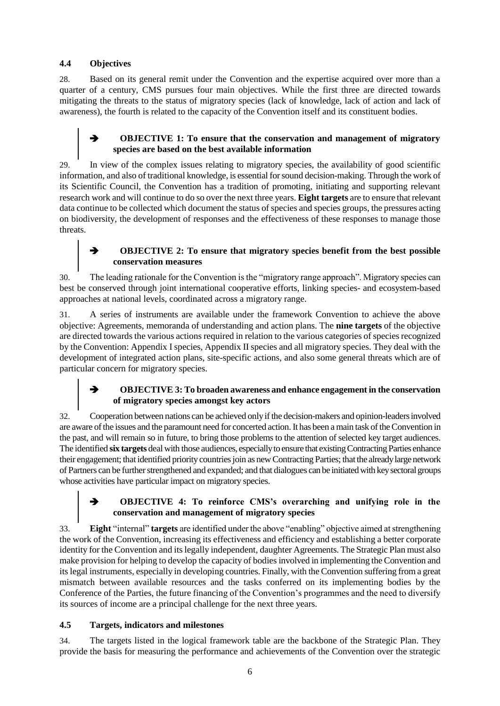#### **4.4 Objectives**

28. Based on its general remit under the Convention and the expertise acquired over more than a quarter of a century, CMS pursues four main objectives. While the first three are directed towards mitigating the threats to the status of migratory species (lack of knowledge, lack of action and lack of awareness), the fourth is related to the capacity of the Convention itself and its constituent bodies.

#### **OBJECTIVE 1: To ensure that the conservation and management of migratory species are based on the best available information**

29. In view of the complex issues relating to migratory species, the availability of good scientific information, and also of traditional knowledge, is essential for sound decision-making. Through the work of its Scientific Council, the Convention has a tradition of promoting, initiating and supporting relevant research work and will continue to do so over the next three years. **Eight targets** are to ensure that relevant data continue to be collected which document the status of species and species groups, the pressures acting on biodiversity, the development of responses and the effectiveness of these responses to manage those threats.

#### **OBJECTIVE 2: To ensure that migratory species benefit from the best possible conservation measures**

30. The leading rationale for the Convention is the "migratory range approach". Migratory species can best be conserved through joint international cooperative efforts, linking species- and ecosystem-based approaches at national levels, coordinated across a migratory range.

31. A series of instruments are available under the framework Convention to achieve the above objective: Agreements, memoranda of understanding and action plans. The **nine targets** of the objective are directed towards the various actions required in relation to the various categories of species recognized by the Convention: Appendix I species, Appendix II species and all migratory species. They deal with the development of integrated action plans, site-specific actions, and also some general threats which are of particular concern for migratory species.

#### **OBJECTIVE 3: To broaden awareness and enhance engagement in the conservation of migratory species amongst key actors**

32. Cooperation between nations can be achieved only if the decision-makers and opinion-leaders involved are aware of the issues and the paramount need for concerted action. It has been a main task of the Convention in the past, and will remain so in future, to bring those problems to the attention of selected key target audiences. The identified **six targets** deal with those audiences, especially to ensure that existing Contracting Parties enhance their engagement; that identified priority countries join as new Contracting Parties; that the already large network of Partners can be further strengthened and expanded; and that dialogues can be initiated with key sectoral groups whose activities have particular impact on migratory species.

#### **OBJECTIVE 4: To reinforce CMS's overarching and unifying role in the conservation and management of migratory species**

33. **Eight** "internal" **targets** are identified under the above "enabling" objective aimed at strengthening the work of the Convention, increasing its effectiveness and efficiency and establishing a better corporate identity for the Convention and its legally independent, daughter Agreements. The Strategic Plan must also make provision for helping to develop the capacity of bodies involved in implementing the Convention and its legal instruments, especially in developing countries. Finally, with the Convention suffering from a great mismatch between available resources and the tasks conferred on its implementing bodies by the Conference of the Parties, the future financing of the Convention's programmes and the need to diversify its sources of income are a principal challenge for the next three years.

#### **4.5 Targets, indicators and milestones**

34. The targets listed in the logical framework table are the backbone of the Strategic Plan. They provide the basis for measuring the performance and achievements of the Convention over the strategic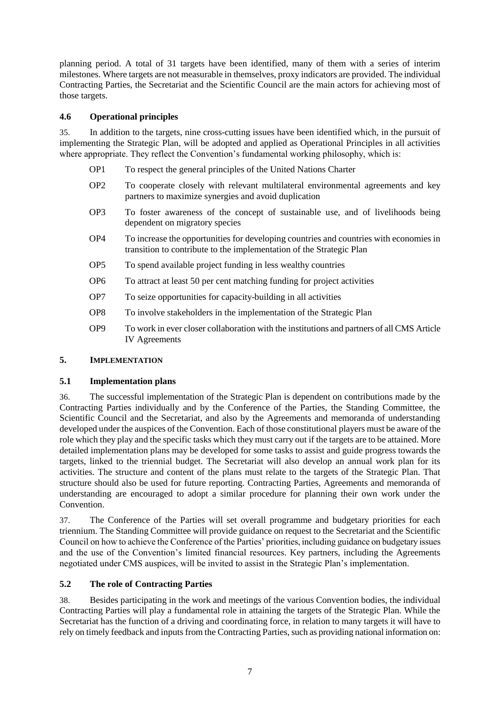planning period. A total of 31 targets have been identified, many of them with a series of interim milestones. Where targets are not measurable in themselves, proxy indicators are provided. The individual Contracting Parties, the Secretariat and the Scientific Council are the main actors for achieving most of those targets.

#### **4.6 Operational principles**

35. In addition to the targets, nine cross-cutting issues have been identified which, in the pursuit of implementing the Strategic Plan, will be adopted and applied as Operational Principles in all activities where appropriate. They reflect the Convention's fundamental working philosophy, which is:

- OP1 To respect the general principles of the United Nations Charter
- OP2 To cooperate closely with relevant multilateral environmental agreements and key partners to maximize synergies and avoid duplication
- OP3 To foster awareness of the concept of sustainable use, and of livelihoods being dependent on migratory species
- OP4 To increase the opportunities for developing countries and countries with economies in transition to contribute to the implementation of the Strategic Plan
- OP5 To spend available project funding in less wealthy countries
- OP6 To attract at least 50 per cent matching funding for project activities
- OP7 To seize opportunities for capacity-building in all activities
- OP8 To involve stakeholders in the implementation of the Strategic Plan
- OP9 To work in ever closer collaboration with the institutions and partners of all CMS Article IV Agreements

#### **5. IMPLEMENTATION**

#### **5.1 Implementation plans**

36. The successful implementation of the Strategic Plan is dependent on contributions made by the Contracting Parties individually and by the Conference of the Parties, the Standing Committee, the Scientific Council and the Secretariat, and also by the Agreements and memoranda of understanding developed under the auspices of the Convention. Each of those constitutional players must be aware of the role which they play and the specific tasks which they must carry out if the targets are to be attained. More detailed implementation plans may be developed for some tasks to assist and guide progress towards the targets, linked to the triennial budget. The Secretariat will also develop an annual work plan for its activities. The structure and content of the plans must relate to the targets of the Strategic Plan. That structure should also be used for future reporting. Contracting Parties, Agreements and memoranda of understanding are encouraged to adopt a similar procedure for planning their own work under the **Convention** 

37. The Conference of the Parties will set overall programme and budgetary priorities for each triennium. The Standing Committee will provide guidance on request to the Secretariat and the Scientific Council on how to achieve the Conference of the Parties' priorities, including guidance on budgetary issues and the use of the Convention's limited financial resources. Key partners, including the Agreements negotiated under CMS auspices, will be invited to assist in the Strategic Plan's implementation.

#### **5.2 The role of Contracting Parties**

38. Besides participating in the work and meetings of the various Convention bodies, the individual Contracting Parties will play a fundamental role in attaining the targets of the Strategic Plan. While the Secretariat has the function of a driving and coordinating force, in relation to many targets it will have to rely on timely feedback and inputs from the Contracting Parties, such as providing national information on: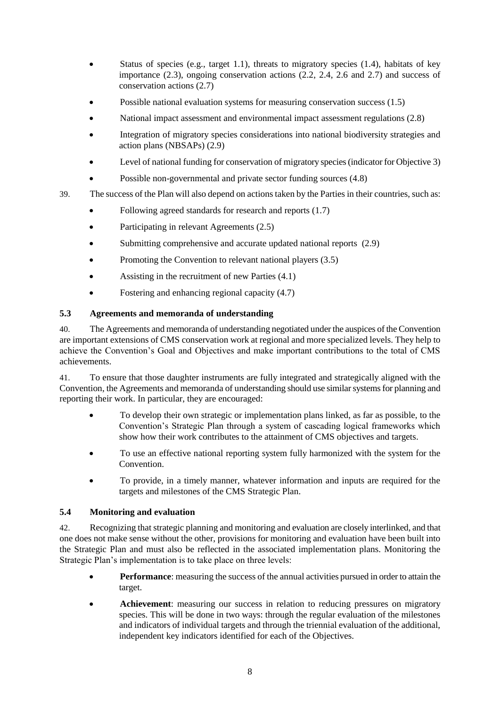- Status of species (e.g., target 1.1), threats to migratory species (1.4), habitats of key importance (2.3), ongoing conservation actions (2.2, 2.4, 2.6 and 2.7) and success of conservation actions (2.7)
- Possible national evaluation systems for measuring conservation success (1.5)
- National impact assessment and environmental impact assessment regulations (2.8)
- Integration of migratory species considerations into national biodiversity strategies and action plans (NBSAPs) (2.9)
- Level of national funding for conservation of migratory species (indicator for Objective 3)
- Possible non-governmental and private sector funding sources (4.8)
- 39. The success of the Plan will also depend on actions taken by the Parties in their countries, such as:
	- Following agreed standards for research and reports  $(1.7)$
	- Participating in relevant Agreements (2.5)
	- Submitting comprehensive and accurate updated national reports (2.9)
	- Promoting the Convention to relevant national players (3.5)
	- Assisting in the recruitment of new Parties (4.1)
	- Fostering and enhancing regional capacity  $(4.7)$

#### **5.3 Agreements and memoranda of understanding**

40. The Agreements and memoranda of understanding negotiated under the auspices of the Convention are important extensions of CMS conservation work at regional and more specialized levels. They help to achieve the Convention's Goal and Objectives and make important contributions to the total of CMS achievements.

41. To ensure that those daughter instruments are fully integrated and strategically aligned with the Convention, the Agreements and memoranda of understanding should use similar systems for planning and reporting their work. In particular, they are encouraged:

- To develop their own strategic or implementation plans linked, as far as possible, to the Convention's Strategic Plan through a system of cascading logical frameworks which show how their work contributes to the attainment of CMS objectives and targets.
- To use an effective national reporting system fully harmonized with the system for the Convention.
- To provide, in a timely manner, whatever information and inputs are required for the targets and milestones of the CMS Strategic Plan.

#### **5.4 Monitoring and evaluation**

42. Recognizing that strategic planning and monitoring and evaluation are closely interlinked, and that one does not make sense without the other, provisions for monitoring and evaluation have been built into the Strategic Plan and must also be reflected in the associated implementation plans. Monitoring the Strategic Plan's implementation is to take place on three levels:

- **Performance**: measuring the success of the annual activities pursued in order to attain the target.
- **Achievement**: measuring our success in relation to reducing pressures on migratory species. This will be done in two ways: through the regular evaluation of the milestones and indicators of individual targets and through the triennial evaluation of the additional, independent key indicators identified for each of the Objectives.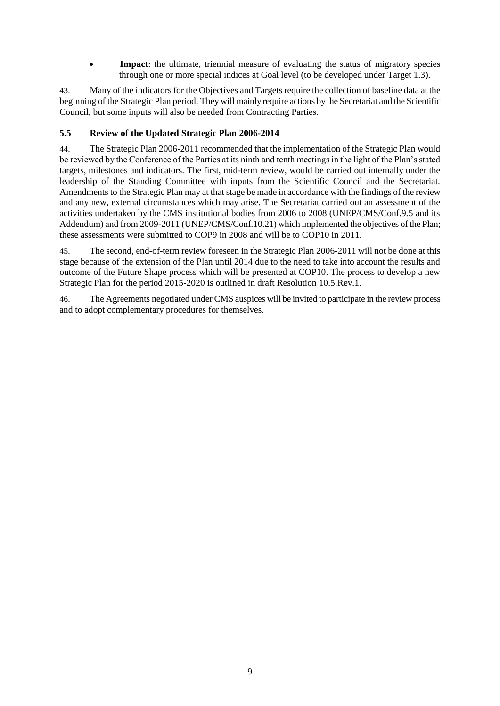• **Impact**: the ultimate, triennial measure of evaluating the status of migratory species through one or more special indices at Goal level (to be developed under Target 1.3).

43. Many of the indicators for the Objectives and Targets require the collection of baseline data at the beginning of the Strategic Plan period. They will mainly require actions by the Secretariat and the Scientific Council, but some inputs will also be needed from Contracting Parties.

#### **5.5 Review of the Updated Strategic Plan 2006-2014**

44. The Strategic Plan 2006-2011 recommended that the implementation of the Strategic Plan would be reviewed by the Conference of the Parties at its ninth and tenth meetings in the light of the Plan's stated targets, milestones and indicators. The first, mid-term review, would be carried out internally under the leadership of the Standing Committee with inputs from the Scientific Council and the Secretariat. Amendments to the Strategic Plan may at that stage be made in accordance with the findings of the review and any new, external circumstances which may arise. The Secretariat carried out an assessment of the activities undertaken by the CMS institutional bodies from 2006 to 2008 (UNEP/CMS/Conf.9.5 and its Addendum) and from 2009-2011 (UNEP/CMS/Conf.10.21) which implemented the objectives of the Plan; these assessments were submitted to COP9 in 2008 and will be to COP10 in 2011.

45. The second, end-of-term review foreseen in the Strategic Plan 2006-2011 will not be done at this stage because of the extension of the Plan until 2014 due to the need to take into account the results and outcome of the Future Shape process which will be presented at COP10. The process to develop a new Strategic Plan for the period 2015-2020 is outlined in draft Resolution 10.5.Rev.1.

46. The Agreements negotiated under CMS auspices will be invited to participate in the review process and to adopt complementary procedures for themselves.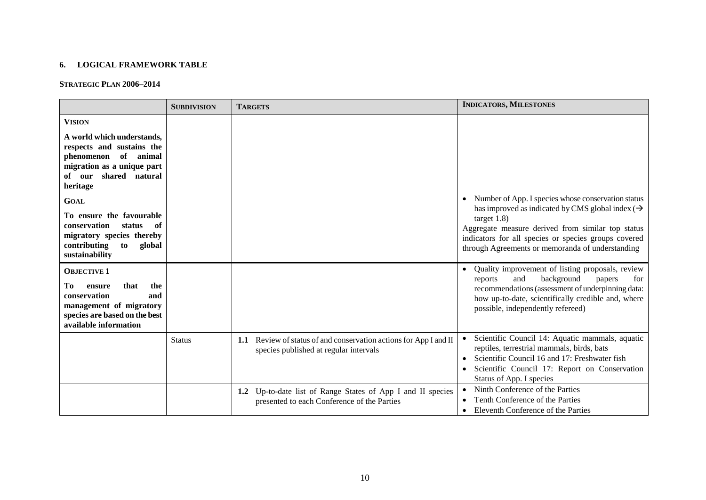#### **6. LOGICAL FRAMEWORK TABLE**

#### **STRATEGIC PLAN 2006–2014**

|                                                                                                                                                               | <b>SUBDIVISION</b> | <b>TARGETS</b>                                                                                                 | <b>INDICATORS, MILESTONES</b>                                                                                                                                                                                                                                                                                       |
|---------------------------------------------------------------------------------------------------------------------------------------------------------------|--------------------|----------------------------------------------------------------------------------------------------------------|---------------------------------------------------------------------------------------------------------------------------------------------------------------------------------------------------------------------------------------------------------------------------------------------------------------------|
| <b>VISION</b>                                                                                                                                                 |                    |                                                                                                                |                                                                                                                                                                                                                                                                                                                     |
| A world which understands,<br>respects and sustains the<br>phenomenon of animal<br>migration as a unique part<br>shared natural<br>of our<br>heritage         |                    |                                                                                                                |                                                                                                                                                                                                                                                                                                                     |
| <b>GOAL</b><br>To ensure the favourable<br>conservation<br>status<br>of<br>migratory species thereby<br>global<br>contributing<br>to<br>sustainability        |                    |                                                                                                                | Number of App. I species whose conservation status<br>$\bullet$<br>has improved as indicated by CMS global index ( $\rightarrow$<br>target $1.8$ )<br>Aggregate measure derived from similar top status<br>indicators for all species or species groups covered<br>through Agreements or memoranda of understanding |
| <b>OBJECTIVE 1</b><br>that<br>the<br>Tо<br>ensure<br>conservation<br>and<br>management of migratory<br>species are based on the best<br>available information |                    |                                                                                                                | Quality improvement of listing proposals, review<br>$\bullet$<br>background<br>and<br>reports<br>for<br>papers<br>recommendations (assessment of underpinning data:<br>how up-to-date, scientifically credible and, where<br>possible, independently refereed)                                                      |
|                                                                                                                                                               | <b>Status</b>      | Review of status of and conservation actions for App I and II<br>1.1<br>species published at regular intervals | Scientific Council 14: Aquatic mammals, aquatic<br>reptiles, terrestrial mammals, birds, bats<br>Scientific Council 16 and 17: Freshwater fish<br>$\bullet$<br>Scientific Council 17: Report on Conservation<br>Status of App. I species                                                                            |
|                                                                                                                                                               |                    | Up-to-date list of Range States of App I and II species<br>1.2<br>presented to each Conference of the Parties  | Ninth Conference of the Parties<br>Tenth Conference of the Parties<br>Eleventh Conference of the Parties<br>$\bullet$                                                                                                                                                                                               |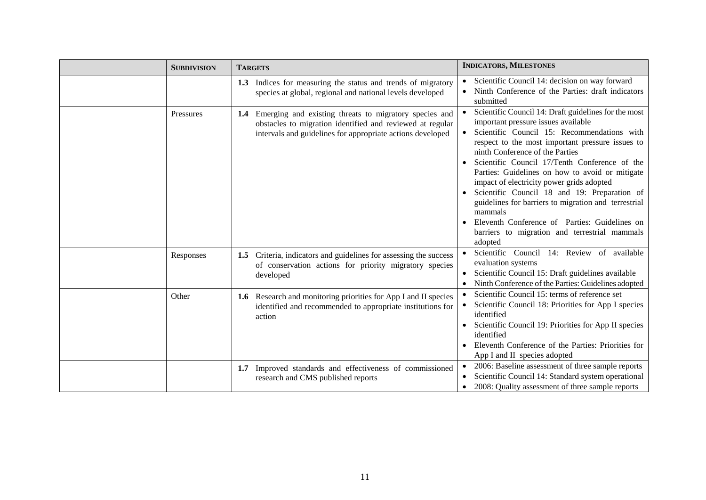| <b>SUBDIVISION</b> | <b>TARGETS</b>                                                                                                                                                                           | <b>INDICATORS, MILESTONES</b>                                                                                                                                                                                                                                                                                                                                                                                                                                                                                                                                                                                      |
|--------------------|------------------------------------------------------------------------------------------------------------------------------------------------------------------------------------------|--------------------------------------------------------------------------------------------------------------------------------------------------------------------------------------------------------------------------------------------------------------------------------------------------------------------------------------------------------------------------------------------------------------------------------------------------------------------------------------------------------------------------------------------------------------------------------------------------------------------|
|                    | Indices for measuring the status and trends of migratory<br>1.3<br>species at global, regional and national levels developed                                                             | Scientific Council 14: decision on way forward<br>Ninth Conference of the Parties: draft indicators<br>submitted                                                                                                                                                                                                                                                                                                                                                                                                                                                                                                   |
| Pressures          | Emerging and existing threats to migratory species and<br>1.4<br>obstacles to migration identified and reviewed at regular<br>intervals and guidelines for appropriate actions developed | Scientific Council 14: Draft guidelines for the most<br>important pressure issues available<br>Scientific Council 15: Recommendations with<br>respect to the most important pressure issues to<br>ninth Conference of the Parties<br>Scientific Council 17/Tenth Conference of the<br>Parties: Guidelines on how to avoid or mitigate<br>impact of electricity power grids adopted<br>Scientific Council 18 and 19: Preparation of<br>guidelines for barriers to migration and terrestrial<br>mammals<br>Eleventh Conference of Parties: Guidelines on<br>barriers to migration and terrestrial mammals<br>adopted |
| Responses          | Criteria, indicators and guidelines for assessing the success<br>1.5<br>of conservation actions for priority migratory species<br>developed                                              | Scientific Council 14: Review of available<br>evaluation systems<br>Scientific Council 15: Draft guidelines available<br>Ninth Conference of the Parties: Guidelines adopted                                                                                                                                                                                                                                                                                                                                                                                                                                       |
| Other              | 1.6 Research and monitoring priorities for App I and II species<br>identified and recommended to appropriate institutions for<br>action                                                  | Scientific Council 15: terms of reference set<br>Scientific Council 18: Priorities for App I species<br>identified<br>Scientific Council 19: Priorities for App II species<br>identified<br>Eleventh Conference of the Parties: Priorities for<br>App I and II species adopted                                                                                                                                                                                                                                                                                                                                     |
|                    | Improved standards and effectiveness of commissioned<br>1.7<br>research and CMS published reports                                                                                        | 2006: Baseline assessment of three sample reports<br>Scientific Council 14: Standard system operational<br>2008: Quality assessment of three sample reports<br>$\bullet$                                                                                                                                                                                                                                                                                                                                                                                                                                           |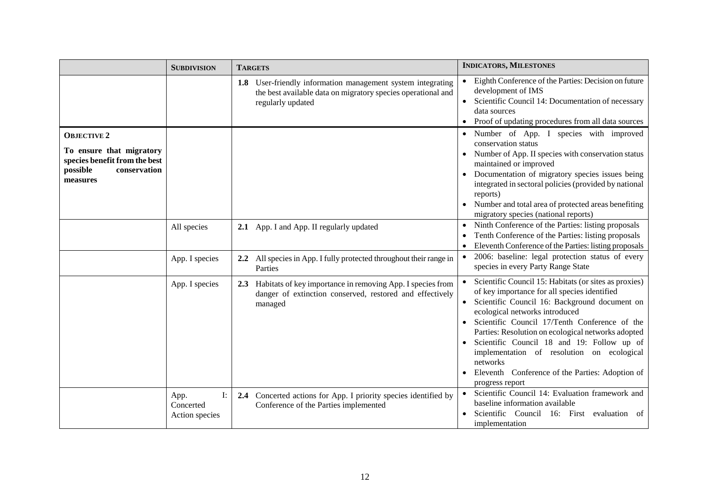|                                                                                                                         | <b>SUBDIVISION</b>                        | <b>TARGETS</b>                                                                                                                                      | <b>INDICATORS, MILESTONES</b>                                                                                                                                                                                                                                                                                                                                                                                                                                                 |
|-------------------------------------------------------------------------------------------------------------------------|-------------------------------------------|-----------------------------------------------------------------------------------------------------------------------------------------------------|-------------------------------------------------------------------------------------------------------------------------------------------------------------------------------------------------------------------------------------------------------------------------------------------------------------------------------------------------------------------------------------------------------------------------------------------------------------------------------|
|                                                                                                                         |                                           | User-friendly information management system integrating<br>1.8<br>the best available data on migratory species operational and<br>regularly updated | Eighth Conference of the Parties: Decision on future<br>development of IMS<br>Scientific Council 14: Documentation of necessary<br>data sources<br>Proof of updating procedures from all data sources                                                                                                                                                                                                                                                                         |
| <b>OBJECTIVE 2</b><br>To ensure that migratory<br>species benefit from the best<br>possible<br>conservation<br>measures |                                           |                                                                                                                                                     | Number of App. I species with improved<br>conservation status<br>Number of App. II species with conservation status<br>maintained or improved<br>Documentation of migratory species issues being<br>integrated in sectoral policies (provided by national<br>reports)<br>Number and total area of protected areas benefiting<br>migratory species (national reports)                                                                                                          |
|                                                                                                                         | All species                               | 2.1 App. I and App. II regularly updated                                                                                                            | Ninth Conference of the Parties: listing proposals<br>Tenth Conference of the Parties: listing proposals<br>$\bullet$<br>Eleventh Conference of the Parties: listing proposals                                                                                                                                                                                                                                                                                                |
|                                                                                                                         | App. I species                            | All species in App. I fully protected throughout their range in<br>$2.2\phantom{0}$<br>Parties                                                      | 2006: baseline: legal protection status of every<br>species in every Party Range State                                                                                                                                                                                                                                                                                                                                                                                        |
|                                                                                                                         | App. I species                            | Habitats of key importance in removing App. I species from<br>2.3<br>danger of extinction conserved, restored and effectively<br>managed            | Scientific Council 15: Habitats (or sites as proxies)<br>of key importance for all species identified<br>Scientific Council 16: Background document on<br>ecological networks introduced<br>Scientific Council 17/Tenth Conference of the<br>Parties: Resolution on ecological networks adopted<br>Scientific Council 18 and 19: Follow up of<br>implementation of resolution on ecological<br>networks<br>Eleventh Conference of the Parties: Adoption of<br>progress report |
|                                                                                                                         | I:<br>App.<br>Concerted<br>Action species | 2.4 Concerted actions for App. I priority species identified by<br>Conference of the Parties implemented                                            | Scientific Council 14: Evaluation framework and<br>baseline information available<br>Scientific Council 16: First evaluation of<br>implementation                                                                                                                                                                                                                                                                                                                             |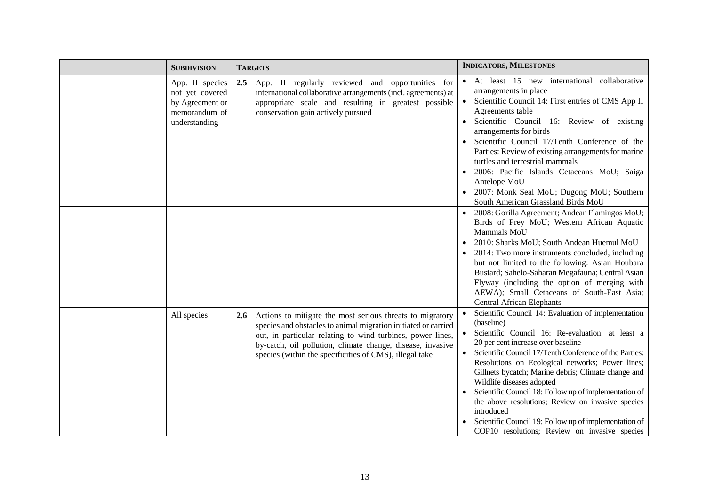| <b>SUBDIVISION</b>                                                                      | <b>TARGETS</b>                                                                                                                                                                                                                                                                                                                   | <b>INDICATORS, MILESTONES</b>                                                                                                                                                                                                                                                                                                                                                                                                                                                                                                                                                                                    |
|-----------------------------------------------------------------------------------------|----------------------------------------------------------------------------------------------------------------------------------------------------------------------------------------------------------------------------------------------------------------------------------------------------------------------------------|------------------------------------------------------------------------------------------------------------------------------------------------------------------------------------------------------------------------------------------------------------------------------------------------------------------------------------------------------------------------------------------------------------------------------------------------------------------------------------------------------------------------------------------------------------------------------------------------------------------|
| App. II species<br>not yet covered<br>by Agreement or<br>memorandum of<br>understanding | 2.5<br>App. II regularly reviewed and opportunities for<br>international collaborative arrangements (incl. agreements) at<br>appropriate scale and resulting in greatest possible<br>conservation gain actively pursued                                                                                                          | • At least 15 new international collaborative<br>arrangements in place<br>Scientific Council 14: First entries of CMS App II<br>Agreements table<br>Scientific Council 16: Review of existing<br>arrangements for birds<br>Scientific Council 17/Tenth Conference of the<br>Parties: Review of existing arrangements for marine<br>turtles and terrestrial mammals<br>2006: Pacific Islands Cetaceans MoU; Saiga<br>Antelope MoU<br>2007: Monk Seal MoU; Dugong MoU; Southern<br>South American Grassland Birds MoU                                                                                              |
|                                                                                         |                                                                                                                                                                                                                                                                                                                                  | 2008: Gorilla Agreement; Andean Flamingos MoU;<br>Birds of Prey MoU; Western African Aquatic<br>Mammals MoU<br>2010: Sharks MoU; South Andean Huemul MoU<br>2014: Two more instruments concluded, including<br>but not limited to the following: Asian Houbara<br>Bustard; Sahelo-Saharan Megafauna; Central Asian<br>Flyway (including the option of merging with<br>AEWA); Small Cetaceans of South-East Asia;<br><b>Central African Elephants</b>                                                                                                                                                             |
| All species                                                                             | Actions to mitigate the most serious threats to migratory<br><b>2.6</b><br>species and obstacles to animal migration initiated or carried<br>out, in particular relating to wind turbines, power lines,<br>by-catch, oil pollution, climate change, disease, invasive<br>species (within the specificities of CMS), illegal take | Scientific Council 14: Evaluation of implementation<br>(baseline)<br>Scientific Council 16: Re-evaluation: at least a<br>20 per cent increase over baseline<br>Scientific Council 17/Tenth Conference of the Parties:<br>$\bullet$<br>Resolutions on Ecological networks; Power lines;<br>Gillnets bycatch; Marine debris; Climate change and<br>Wildlife diseases adopted<br>Scientific Council 18: Follow up of implementation of<br>the above resolutions; Review on invasive species<br>introduced<br>Scientific Council 19: Follow up of implementation of<br>COP10 resolutions; Review on invasive species |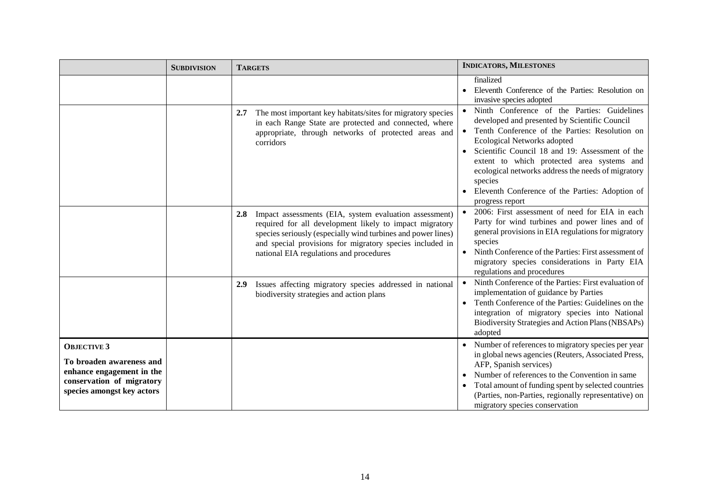|                                                                                                                                        | <b>SUBDIVISION</b> | <b>TARGETS</b>                                                                                                                                                                                                                                                                                  | <b>INDICATORS, MILESTONES</b>                                                                                                                                                                                                                                                                                                                                                                                         |
|----------------------------------------------------------------------------------------------------------------------------------------|--------------------|-------------------------------------------------------------------------------------------------------------------------------------------------------------------------------------------------------------------------------------------------------------------------------------------------|-----------------------------------------------------------------------------------------------------------------------------------------------------------------------------------------------------------------------------------------------------------------------------------------------------------------------------------------------------------------------------------------------------------------------|
|                                                                                                                                        |                    |                                                                                                                                                                                                                                                                                                 | finalized<br>Eleventh Conference of the Parties: Resolution on<br>invasive species adopted                                                                                                                                                                                                                                                                                                                            |
|                                                                                                                                        |                    | The most important key habitats/sites for migratory species<br>2.7<br>in each Range State are protected and connected, where<br>appropriate, through networks of protected areas and<br>corridors                                                                                               | Ninth Conference of the Parties: Guidelines<br>developed and presented by Scientific Council<br>Tenth Conference of the Parties: Resolution on<br>Ecological Networks adopted<br>Scientific Council 18 and 19: Assessment of the<br>extent to which protected area systems and<br>ecological networks address the needs of migratory<br>species<br>Eleventh Conference of the Parties: Adoption of<br>progress report |
|                                                                                                                                        |                    | Impact assessments (EIA, system evaluation assessment)<br>2.8<br>required for all development likely to impact migratory<br>species seriously (especially wind turbines and power lines)<br>and special provisions for migratory species included in<br>national EIA regulations and procedures | 2006: First assessment of need for EIA in each<br>Party for wind turbines and power lines and of<br>general provisions in EIA regulations for migratory<br>species<br>Ninth Conference of the Parties: First assessment of<br>migratory species considerations in Party EIA<br>regulations and procedures                                                                                                             |
|                                                                                                                                        |                    | Issues affecting migratory species addressed in national<br>2.9<br>biodiversity strategies and action plans                                                                                                                                                                                     | Ninth Conference of the Parties: First evaluation of<br>$\bullet$<br>implementation of guidance by Parties<br>Tenth Conference of the Parties: Guidelines on the<br>integration of migratory species into National<br>Biodiversity Strategies and Action Plans (NBSAPs)<br>adopted                                                                                                                                    |
| <b>OBJECTIVE 3</b><br>To broaden awareness and<br>enhance engagement in the<br>conservation of migratory<br>species amongst key actors |                    |                                                                                                                                                                                                                                                                                                 | Number of references to migratory species per year<br>in global news agencies (Reuters, Associated Press,<br>AFP, Spanish services)<br>Number of references to the Convention in same<br>Total amount of funding spent by selected countries<br>(Parties, non-Parties, regionally representative) on<br>migratory species conservation                                                                                |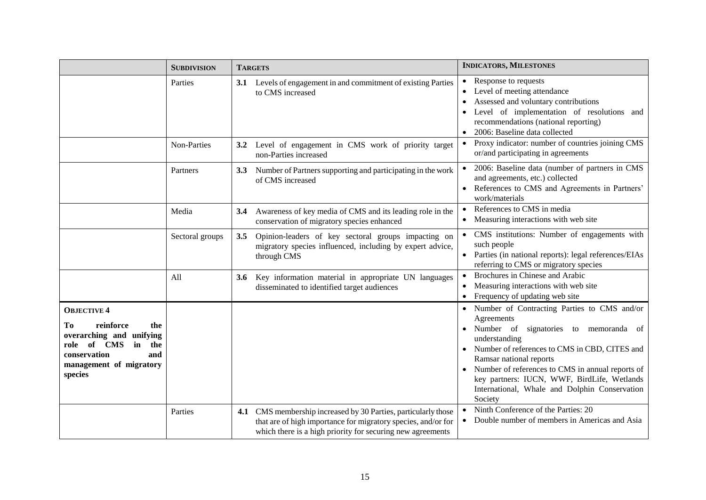|                                                                                                                                                                      | <b>SUBDIVISION</b> | <b>TARGETS</b>                                                                                                                                                                                | <b>INDICATORS, MILESTONES</b>                                                                                                                                                                                                                                                                                                                                  |
|----------------------------------------------------------------------------------------------------------------------------------------------------------------------|--------------------|-----------------------------------------------------------------------------------------------------------------------------------------------------------------------------------------------|----------------------------------------------------------------------------------------------------------------------------------------------------------------------------------------------------------------------------------------------------------------------------------------------------------------------------------------------------------------|
|                                                                                                                                                                      | Parties            | 3.1 Levels of engagement in and commitment of existing Parties<br>to CMS increased                                                                                                            | Response to requests<br>Level of meeting attendance<br>$\bullet$<br>Assessed and voluntary contributions<br>$\bullet$<br>Level of implementation of resolutions and<br>recommendations (national reporting)<br>2006: Baseline data collected                                                                                                                   |
|                                                                                                                                                                      | Non-Parties        | Level of engagement in CMS work of priority target<br>$3.2\phantom{0}$<br>non-Parties increased                                                                                               | Proxy indicator: number of countries joining CMS<br>$\bullet$<br>or/and participating in agreements                                                                                                                                                                                                                                                            |
|                                                                                                                                                                      | Partners           | Number of Partners supporting and participating in the work<br>3.3<br>of CMS increased                                                                                                        | 2006: Baseline data (number of partners in CMS<br>and agreements, etc.) collected<br>References to CMS and Agreements in Partners'<br>work/materials                                                                                                                                                                                                           |
|                                                                                                                                                                      | Media              | Awareness of key media of CMS and its leading role in the<br>3.4<br>conservation of migratory species enhanced                                                                                | References to CMS in media<br>$\bullet$<br>Measuring interactions with web site<br>$\bullet$                                                                                                                                                                                                                                                                   |
|                                                                                                                                                                      | Sectoral groups    | 3.5<br>Opinion-leaders of key sectoral groups impacting on<br>migratory species influenced, including by expert advice,<br>through CMS                                                        | CMS institutions: Number of engagements with<br>such people<br>Parties (in national reports): legal references/EIAs<br>referring to CMS or migratory species                                                                                                                                                                                                   |
|                                                                                                                                                                      | All                | Key information material in appropriate UN languages<br>3.6<br>disseminated to identified target audiences                                                                                    | Brochures in Chinese and Arabic<br>Measuring interactions with web site<br>$\bullet$<br>Frequency of updating web site<br>$\bullet$                                                                                                                                                                                                                            |
| <b>OBJECTIVE 4</b><br>reinforce<br>Tо<br>the<br>overarching and unifying<br>of CMS<br>the<br>in<br>role<br>conservation<br>and<br>management of migratory<br>species |                    |                                                                                                                                                                                               | Number of Contracting Parties to CMS and/or<br>Agreements<br>Number of signatories to memoranda of<br>understanding<br>Number of references to CMS in CBD, CITES and<br>Ramsar national reports<br>Number of references to CMS in annual reports of<br>key partners: IUCN, WWF, BirdLife, Wetlands<br>International, Whale and Dolphin Conservation<br>Society |
|                                                                                                                                                                      | Parties            | 4.1 CMS membership increased by 30 Parties, particularly those<br>that are of high importance for migratory species, and/or for<br>which there is a high priority for securing new agreements | Ninth Conference of the Parties: 20<br>Double number of members in Americas and Asia                                                                                                                                                                                                                                                                           |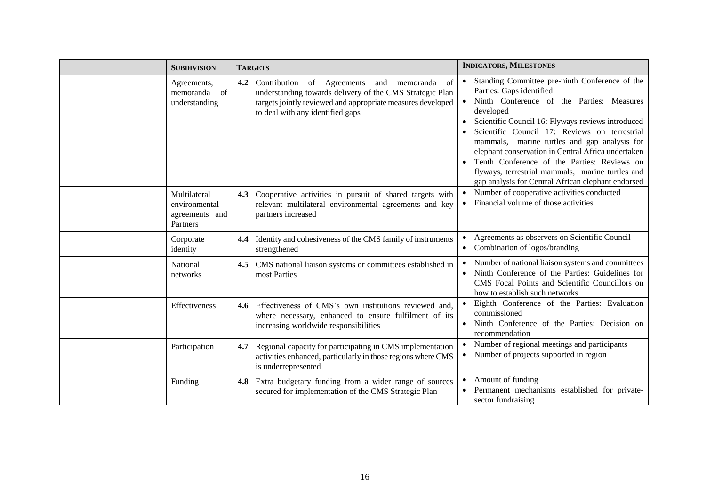| <b>SUBDIVISION</b>                                          | <b>TARGETS</b>                                                                                                                                                                                                              | <b>INDICATORS, MILESTONES</b>                                                                                                                                                                                                                                                                                                                                                                                                                                                                             |
|-------------------------------------------------------------|-----------------------------------------------------------------------------------------------------------------------------------------------------------------------------------------------------------------------------|-----------------------------------------------------------------------------------------------------------------------------------------------------------------------------------------------------------------------------------------------------------------------------------------------------------------------------------------------------------------------------------------------------------------------------------------------------------------------------------------------------------|
| Agreements,<br>memoranda of<br>understanding                | <b>4.2</b> Contribution of Agreements and<br>of<br>memoranda<br>understanding towards delivery of the CMS Strategic Plan<br>targets jointly reviewed and appropriate measures developed<br>to deal with any identified gaps | Standing Committee pre-ninth Conference of the<br>Parties: Gaps identified<br>Ninth Conference of the Parties: Measures<br>developed<br>Scientific Council 16: Flyways reviews introduced<br>Scientific Council 17: Reviews on terrestrial<br>mammals, marine turtles and gap analysis for<br>elephant conservation in Central Africa undertaken<br>Tenth Conference of the Parties: Reviews on<br>flyways, terrestrial mammals, marine turtles and<br>gap analysis for Central African elephant endorsed |
| Multilateral<br>environmental<br>agreements and<br>Partners | 4.3 Cooperative activities in pursuit of shared targets with<br>relevant multilateral environmental agreements and key<br>partners increased                                                                                | Number of cooperative activities conducted<br>Financial volume of those activities<br>$\bullet$                                                                                                                                                                                                                                                                                                                                                                                                           |
| Corporate<br>identity                                       | Identity and cohesiveness of the CMS family of instruments<br>4.4<br>strengthened                                                                                                                                           | Agreements as observers on Scientific Council<br>Combination of logos/branding                                                                                                                                                                                                                                                                                                                                                                                                                            |
| National<br>networks                                        | 4.5 CMS national liaison systems or committees established in<br>most Parties                                                                                                                                               | Number of national liaison systems and committees<br>Ninth Conference of the Parties: Guidelines for<br>CMS Focal Points and Scientific Councillors on<br>how to establish such networks                                                                                                                                                                                                                                                                                                                  |
| Effectiveness                                               | Effectiveness of CMS's own institutions reviewed and,<br>4.6<br>where necessary, enhanced to ensure fulfilment of its<br>increasing worldwide responsibilities                                                              | Eighth Conference of the Parties: Evaluation<br>commissioned<br>Ninth Conference of the Parties: Decision on<br>recommendation                                                                                                                                                                                                                                                                                                                                                                            |
| Participation                                               | Regional capacity for participating in CMS implementation<br>4.7<br>activities enhanced, particularly in those regions where CMS<br>is underrepresented                                                                     | Number of regional meetings and participants<br>Number of projects supported in region<br>$\bullet$                                                                                                                                                                                                                                                                                                                                                                                                       |
| Funding                                                     | Extra budgetary funding from a wider range of sources<br>4.8<br>secured for implementation of the CMS Strategic Plan                                                                                                        | Amount of funding<br>Permanent mechanisms established for private-<br>sector fundraising                                                                                                                                                                                                                                                                                                                                                                                                                  |